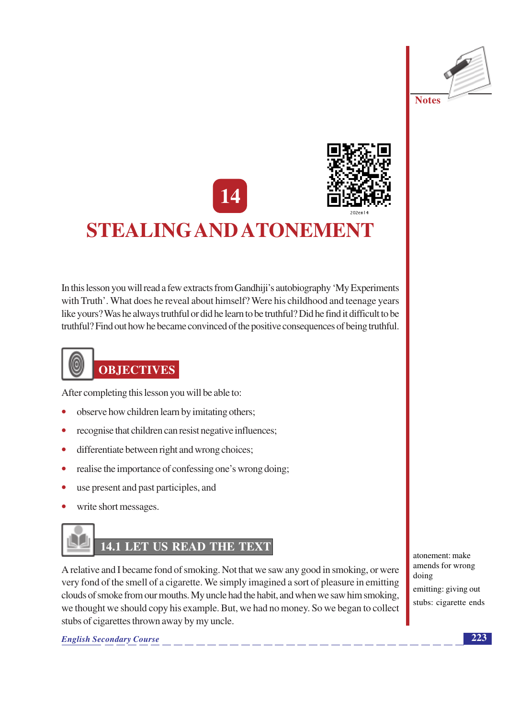



# STEALING AND ATONEMENT

In this lesson you will read a few extracts from Gandhiji's autobiography 'My Experiments' with Truth'. What does he reveal about himself? Were his childhood and teenage years like yours? Was he always truthful or did he learn to be truthful? Did he find it difficult to be truthful? Find out how he became convinced of the positive consequences of being truthful.



After completing this lesson you will be able to:

- observe how children learn by imitating others;
- recognise that children can resist negative influences;
- differentiate between right and wrong choices;  $\bullet$
- realise the importance of confessing one's wrong doing;  $\bullet$
- use present and past participles, and  $\bullet$
- write short messages.



A relative and I became fond of smoking. Not that we saw any good in smoking, or were very fond of the smell of a cigarette. We simply imagined a sort of pleasure in emitting clouds of smoke from our mouths. My uncle had the habit, and when we saw him smoking, we thought we should copy his example. But, we had no money. So we began to collect stubs of cigarettes thrown away by my uncle.

atonement: make amends for wrong doing emitting: giving out stubs: cigarette ends

**English Secondary Course**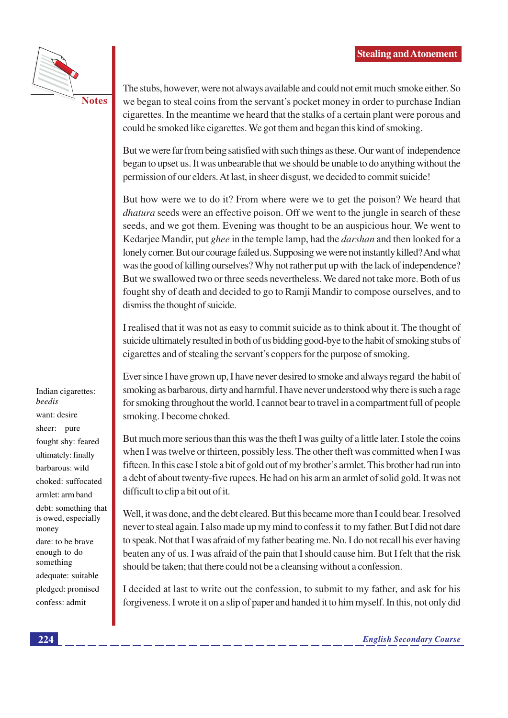

**Notes** 

The stubs, however, were not always available and could not emit much smoke either. So we began to steal coins from the servant's pocket money in order to purchase Indian cigarettes. In the meantime we heard that the stalks of a certain plant were porous and could be smoked like cigarettes. We got them and began this kind of smoking.

But we were far from being satisfied with such things as these. Our want of independence began to upset us. It was unbearable that we should be unable to do anything without the permission of our elders. At last, in sheer disgust, we decided to commit suicide!

But how were we to do it? From where were we to get the poison? We heard that *dhatura* seeds were an effective poison. Off we went to the jungle in search of these seeds, and we got them. Evening was thought to be an auspicious hour. We went to Kedariee Mandir, put ghee in the temple lamp, had the *darshan* and then looked for a lonely corner. But our courage failed us. Supposing we were not instantly killed? And what was the good of killing ourselves? Why not rather put up with the lack of independence? But we swallowed two or three seeds nevertheless. We dared not take more. Both of us fought shy of death and decided to go to Ramji Mandir to compose ourselves, and to dismiss the thought of suicide.

I realised that it was not as easy to commit suicide as to think about it. The thought of suicide ultimately resulted in both of us bidding good-bye to the habit of smoking stubs of cigarettes and of stealing the servant's coppers for the purpose of smoking.

Ever since I have grown up, I have never desired to smoke and always regard the habit of smoking as barbarous, dirty and harmful. I have never understood why there is such a rage for smoking throughout the world. I cannot bear to travel in a compartment full of people smoking. I become choked.

But much more serious than this was the theft I was guilty of a little later. I stole the coins when I was twelve or thirteen, possibly less. The other theft was committed when I was fifteen. In this case I stole a bit of gold out of my brother's armlet. This brother had run into a debt of about twenty-five rupees. He had on his arm an armlet of solid gold. It was not difficult to clip a bit out of it.

Well, it was done, and the debt cleared. But this became more than I could bear. I resolved never to steal again. I also made up my mind to confess it to my father. But I did not dare to speak. Not that I was afraid of my father beating me. No. I do not recall his ever having beaten any of us. I was afraid of the pain that I should cause him. But I felt that the risk should be taken; that there could not be a cleansing without a confession.

I decided at last to write out the confession, to submit to my father, and ask for his forgiveness. I wrote it on a slip of paper and handed it to him myself. In this, not only did

Indian cigarettes: beedis want: desire sheer: pure fought shy: feared ultimately: finally barbarous: wild choked: suffocated armlet: arm band debt: something that is owed, especially money dare: to be brave enough to do something

adequate: suitable pledged: promised confess: admit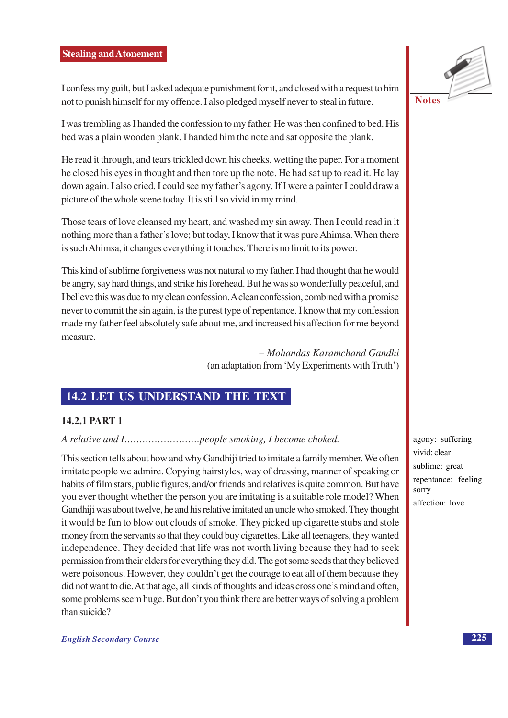I confess my guilt, but I asked adequate punishment for it, and closed with a request to him not to punish himself for my offence. I also pledged myself never to steal in future.

I was trembling as I handed the confession to my father. He was then confined to bed. His bed was a plain wooden plank. I handed him the note and sat opposite the plank.

He read it through, and tears trickled down his cheeks, wetting the paper. For a moment he closed his eyes in thought and then tore up the note. He had sat up to read it. He lay down again. I also cried. I could see my father's agony. If I were a painter I could draw a picture of the whole scene today. It is still so vivid in my mind.

Those tears of love cleansed my heart, and washed my sin away. Then I could read in it nothing more than a father's love; but today, I know that it was pure Ahimsa. When there is such Ahimsa, it changes everything it touches. There is no limit to its power.

This kind of sublime forgiveness was not natural to my father. I had thought that he would be angry, say hard things, and strike his forehead. But he was so wonderfully peaceful, and I believe this was due to my clean confession. A clean confession, combined with a promise never to commit the sin again, is the purest type of repentance. I know that my confession made my father feel absolutely safe about me, and increased his affection for me beyond measure.

> - Mohandas Karamchand Gandhi (an adaptation from 'My Experiments with Truth')

## **14.2 LET US UNDERSTAND THE TEXT**

#### **14.2.1 PART 1**

#### 

This section tells about how and why Gandhiji tried to imitate a family member. We often imitate people we admire. Copying hairstyles, way of dressing, manner of speaking or habits of film stars, public figures, and/or friends and relatives is quite common. But have you ever thought whether the person you are imitating is a suitable role model? When Gandhiii was about twelve, he and his relative imitated an uncle who smoked. They thought it would be fun to blow out clouds of smoke. They picked up cigarette stubs and stole money from the servants so that they could buy cigarettes. Like all teenagers, they wanted independence. They decided that life was not worth living because they had to seek permission from their elders for everything they did. The got some seeds that they believed were poisonous. However, they couldn't get the courage to eat all of them because they did not want to die. At that age, all kinds of thoughts and ideas cross one's mind and often, some problems seem huge. But don't you think there are better ways of solving a problem than suicide?



agony: suffering vivid: clear sublime: great repentance: feeling sorry affection: love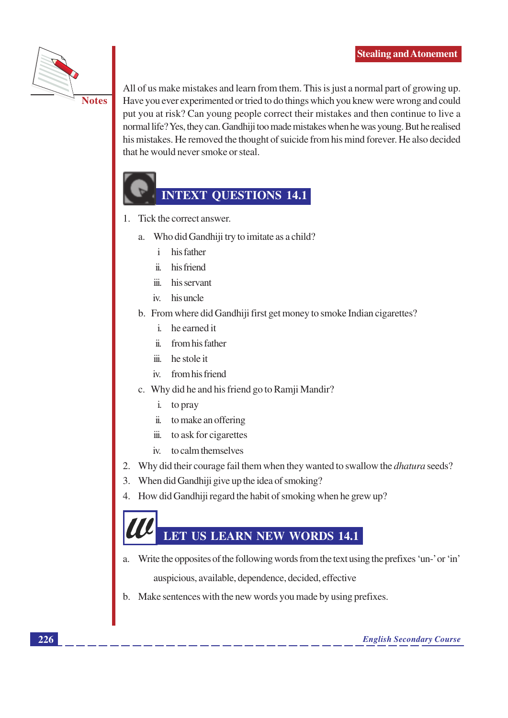

**Notes** 

All of us make mistakes and learn from them. This is just a normal part of growing up. Have you ever experimented or tried to do things which you knew were wrong and could put you at risk? Can young people correct their mistakes and then continue to live a normal life? Yes, they can. Gandhiji too made mistakes when he was young. But he realised his mistakes. He removed the thought of suicide from his mind forever. He also decided that he would never smoke or steal.

# **INTEXT QUESTIONS 14.1**

- $1.$ Tick the correct answer.
	- Who did Gandhiji try to imitate as a child? a.
		- $\mathbf{i}$ his father
		- his friend  $\ddot{\mathbf{n}}$
		- his servant  $\dddot{\mathbf{m}}$
		- iv. his uncle
	- b. From where did Gandhiji first get money to smoke Indian cigarettes?
		- i. he earned it
		- ii. from his father
		- iii. he stole it
		- iv. from his friend
	- c. Why did he and his friend go to Ramji Mandir?
		- i. to pray
		- ii. to make an offering
		- iii. to ask for cigarettes
		- iv. to calm themselves
- 2. Why did their courage fail them when they wanted to swallow the *dhatura* seeds?
- 3. When did Gandhiji give up the idea of smoking?
- How did Gandhiji regard the habit of smoking when he grew up?  $\overline{4}$ .

# **LET US LEARN NEW WORDS 14.1**

- Write the opposites of the following words from the text using the prefixes 'un-' or 'in' a. auspicious, available, dependence, decided, effective
- b. Make sentences with the new words you made by using prefixes.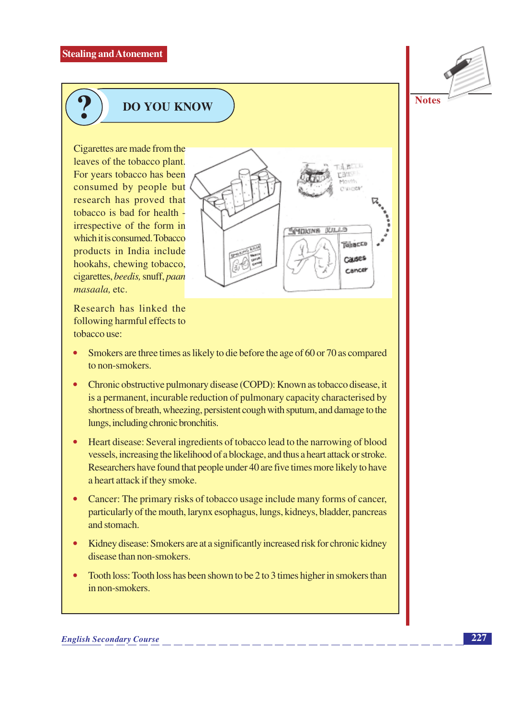

# **DO YOU KNOW**

Cigarettes are made from the leaves of the tobacco plant. For years tobacco has been consumed by people but research has proved that tobacco is bad for health irrespective of the form in which it is consumed. Tobacco products in India include hookahs, chewing tobacco, cigarettes, beedis, snuff, paan masaala, etc.

Research has linked the following harmful effects to tobacco use:

Smokers are three times as likely to die before the age of 60 or 70 as compared to non-smokers.

SCHOKING KALLS

Tehneco

Causes

Cancer

- Chronic obstructive pulmonary disease (COPD): Known as tobacco disease, it is a permanent, incurable reduction of pulmonary capacity characterised by shortness of breath, wheezing, persistent cough with sputum, and damage to the lungs, including chronic bronchitis.
- Heart disease: Several ingredients of tobacco lead to the narrowing of blood vessels, increasing the likelihood of a blockage, and thus a heart attack or stroke. Researchers have found that people under 40 are five times more likely to have a heart attack if they smoke.
- Cancer: The primary risks of tobacco usage include many forms of cancer, particularly of the mouth, larynx esophagus, lungs, kidneys, bladder, pancreas and stomach.
- Kidney disease: Smokers are at a significantly increased risk for chronic kidney disease than non-smokers.
- Tooth loss: Tooth loss has been shown to be 2 to 3 times higher in smokers than in non-smokers.

#### **English Secondary Course**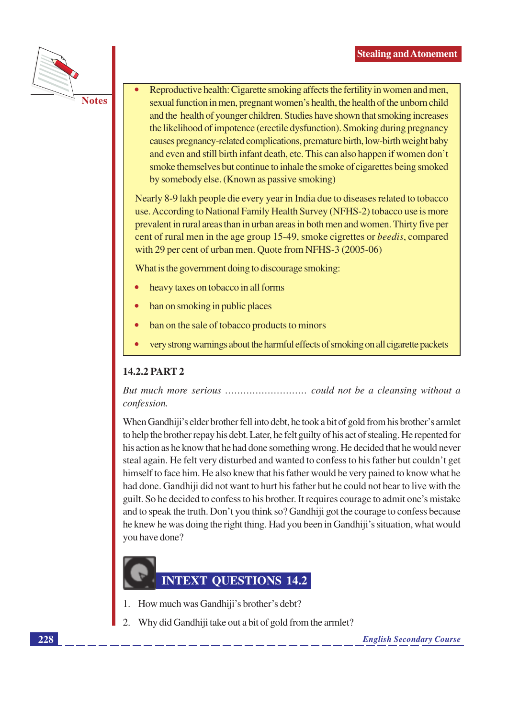

- **Notes**
- Reproductive health: Cigarette smoking affects the fertility in women and men, sexual function in men, pregnant women's health, the health of the unborn child and the health of younger children. Studies have shown that smoking increases the likelihood of impotence (erectile dysfunction). Smoking during pregnancy causes pregnancy-related complications, premature birth, low-birth weight baby and even and still birth infant death, etc. This can also happen if women don't smoke themselves but continue to inhale the smoke of cigarettes being smoked by somebody else. (Known as passive smoking)

Nearly 8-9 lakh people die every year in India due to diseases related to tobacco use. According to National Family Health Survey (NFHS-2) tobacco use is more prevalent in rural areas than in urban areas in both men and women. Thirty five per cent of rural men in the age group 15-49, smoke cigrettes or *beedis*, compared with 29 per cent of urban men. Quote from NFHS-3 (2005-06)

What is the government doing to discourage smoking:

- heavy taxes on tobacco in all forms
- ban on smoking in public places
- ban on the sale of tobacco products to minors
- very strong warnings about the harmful effects of smoking on all cigarette packets

#### 14.2.2 PART 2

confession.

When Gandhiji's elder brother fell into debt, he took a bit of gold from his brother's armlet to help the brother repay his debt. Later, he felt guilty of his act of stealing. He repented for his action as he know that he had done something wrong. He decided that he would never steal again. He felt very disturbed and wanted to confess to his father but couldn't get himself to face him. He also knew that his father would be very pained to know what he had done. Gandhiji did not want to hurt his father but he could not bear to live with the guilt. So he decided to confess to his brother. It requires courage to admit one's mistake and to speak the truth. Don't you think so? Gandhiji got the courage to confess because he knew he was doing the right thing. Had you been in Gandhiji's situation, what would vou have done?

# **INTEXT QUESTIONS 14.2**

- 1. How much was Gandhiji's brother's debt?
- $2<sub>1</sub>$ Why did Gandhiji take out a bit of gold from the armlet?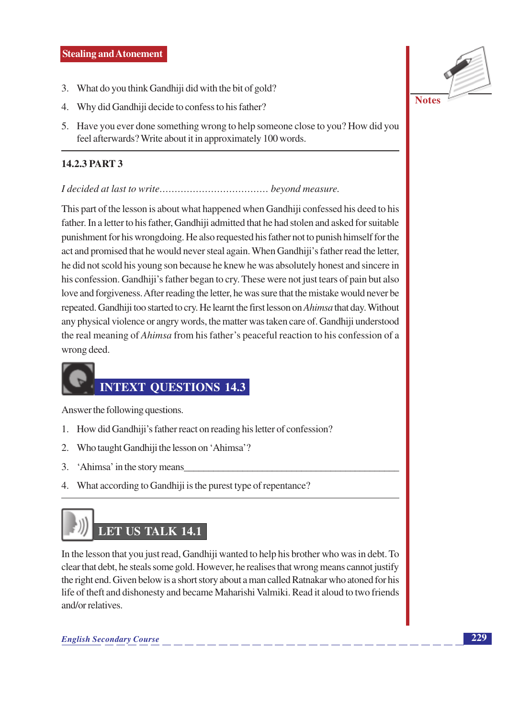- 3. What do you think Gandhiji did with the bit of gold?
- 4. Why did Gandhiji decide to confess to his father?
- 5. Have you ever done something wrong to help someone close to you? How did you feel afterwards? Write about it in approximately 100 words.

#### 14.2.3 PART 3

#### 

This part of the lesson is about what happened when Gandhiji confessed his deed to his father. In a letter to his father, Gandhiji admitted that he had stolen and asked for suitable punishment for his wrongdoing. He also requested his father not to punish himself for the act and promised that he would never steal again. When Gandhiji's father read the letter, he did not scold his young son because he knew he was absolutely honest and sincere in his confession. Gandhiji's father began to cry. These were not just tears of pain but also love and forgiveness. After reading the letter, he was sure that the mistake would never be repeated. Gandhiji too started to cry. He learnt the first lesson on *Ahimsa* that day. Without any physical violence or angry words, the matter was taken care of. Gandhiji understood the real meaning of *Ahimsa* from his father's peaceful reaction to his confession of a wrong deed.

# **INTEXT OUESTIONS 14.3**

Answer the following questions.

- 1. How did Gandhiji's father react on reading his letter of confession?
- 2. Who taught Gandhiji the lesson on 'Ahimsa'?
- $3.$ 'Ahimsa' in the story means
- 4. What according to Gandhiji is the purest type of repentance?

# **LET US TALK 14.1**

In the lesson that you just read, Gandhiji wanted to help his brother who was in debt. To clear that debt, he steals some gold. However, he realises that wrong means cannot justify the right end. Given below is a short story about a man called Ratnakar who atoned for his life of theft and dishonesty and became Maharishi Valmiki. Read it aloud to two friends and/or relatives.

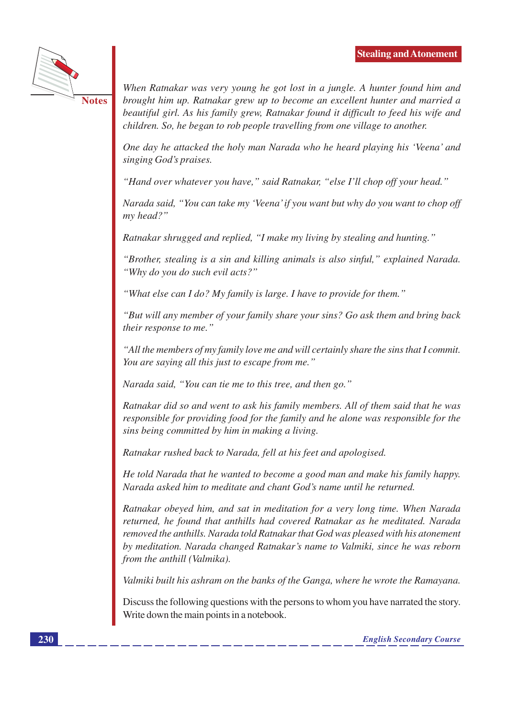

**Notes** 

When Ratnakar was very young he got lost in a jungle. A hunter found him and brought him up. Ratnakar grew up to become an excellent hunter and married a beautiful girl. As his family grew, Ratnakar found it difficult to feed his wife and children. So, he began to rob people travelling from one village to another.

One day he attacked the holy man Narada who he heard playing his 'Veena' and singing God's praises.

"Hand over whatever you have," said Ratnakar, "else I'll chop off your head."

Narada said, "You can take my 'Veena' if you want but why do you want to chop off my head?"

Ratnakar shrugged and replied, "I make my living by stealing and hunting."

"Brother, stealing is a sin and killing animals is also sinful," explained Narada. "Why do you do such evil acts?"

"What else can I do? My family is large. I have to provide for them."

"But will any member of your family share your sins? Go ask them and bring back their response to me."

"All the members of my family love me and will certainly share the sins that I commit. You are saying all this just to escape from me."

Narada said, "You can tie me to this tree, and then go."

Ratnakar did so and went to ask his family members. All of them said that he was responsible for providing food for the family and he alone was responsible for the sins being committed by him in making a living.

Ratnakar rushed back to Narada, fell at his feet and apologised.

He told Narada that he wanted to become a good man and make his family happy. Narada asked him to meditate and chant God's name until he returned.

Ratnakar obeyed him, and sat in meditation for a very long time. When Narada returned, he found that anthills had covered Ratnakar as he meditated. Narada removed the anthills. Narada told Ratnakar that God was pleased with his atonement by meditation. Narada changed Ratnakar's name to Valmiki, since he was reborn from the anthill (Valmika).

Valmiki built his ashram on the banks of the Ganga, where he wrote the Ramayana.

Discuss the following questions with the persons to whom you have narrated the story. Write down the main points in a notebook.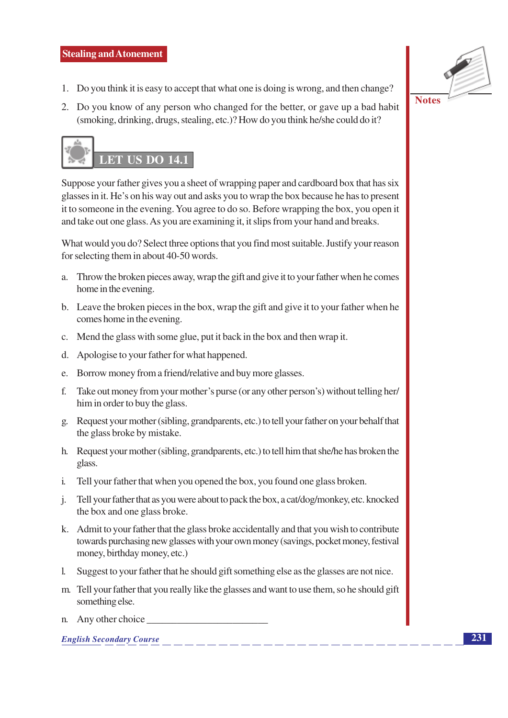

2. Do you know of any person who changed for the better, or gave up a bad habit (smoking, drinking, drugs, stealing, etc.)? How do you think he/she could do it?



Suppose your father gives you a sheet of wrapping paper and cardboard box that has six glasses in it. He's on his way out and asks you to wrap the box because he has to present it to someone in the evening. You agree to do so. Before wrapping the box, you open it and take out one glass. As you are examining it, it slips from your hand and breaks.

What would you do? Select three options that you find most suitable. Justify your reason for selecting them in about 40-50 words.

- a. Throw the broken pieces away, wrap the gift and give it to your father when he comes home in the evening.
- b. Leave the broken pieces in the box, wrap the gift and give it to your father when he comes home in the evening.
- c. Mend the glass with some glue, put it back in the box and then wrap it.
- d. Apologise to your father for what happened.
- e. Borrow money from a friend/relative and buy more glasses.
- f. Take out money from your mother's purse (or any other person's) without telling her/ him in order to buy the glass.
- g. Request your mother (sibling, grandparents, etc.) to tell your father on your behalf that the glass broke by mistake.
- h. Request your mother (sibling, grandparents, etc.) to tell him that she/he has broken the glass.
- Tell your father that when you opened the box, you found one glass broken.  $\mathbf{i}$ .
- Tell your father that as you were about to pack the box, a cat/dog/monkey, etc. knocked  $\mathbf{i}$ . the box and one glass broke.
- k. Admit to your father that the glass broke accidentally and that you wish to contribute towards purchasing new glasses with your own money (savings, pocket money, festival money, birthday money, etc.)
- 1. Suggest to your father that he should gift something else as the glasses are not nice.
- m. Tell your father that you really like the glasses and want to use them, so he should gift something else.
- n. Any other choice

**English Secondary Course** 



231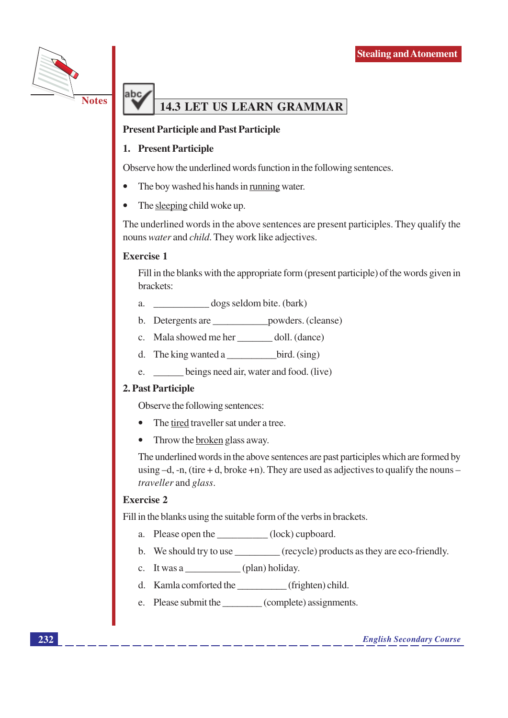

# **14.3 LET US LEARN GRAMMAR**

#### **Present Participle and Past Participle**

#### 1. Present Participle

Observe how the underlined words function in the following sentences.

- The boy washed his hands in running water.
- The sleeping child woke up.

The underlined words in the above sentences are present participles. They qualify the nouns water and child. They work like adjectives.

#### **Exercise 1**

ahc

Fill in the blanks with the appropriate form (present participle) of the words given in brackets:

- dogs seldom bite. (bark)  $\overline{a}$ .
- b. Detergents are \_\_\_\_\_\_\_\_\_\_\_\_\_\_\_ powders. (cleanse)
- c. Mala showed me her \_\_\_\_\_\_ doll. (dance)
- d. The king wanted a  $\rule{1em}{0.15mm}$  bird. (sing)
- e. beings need air, water and food. (live)

#### 2. Past Participle

Observe the following sentences:

- The tired traveller sat under a tree.
- Throw the broken glass away.  $\bullet$

The underlined words in the above sentences are past participles which are formed by using  $-d$ , -n, (tire + d, broke +n). They are used as adjectives to qualify the nouns – traveller and glass.

#### **Exercise 2**

Fill in the blanks using the suitable form of the verbs in brackets.

- a. Please open the \_\_\_\_\_\_\_\_\_(lock) cupboard.
- b. We should try to use (recycle) products as they are eco-friendly.
- c. It was a  $\qquad \qquad$  (plan) holiday.
- d. Kamla comforted the (frighten) child.
- e. Please submit the (complete) assignments.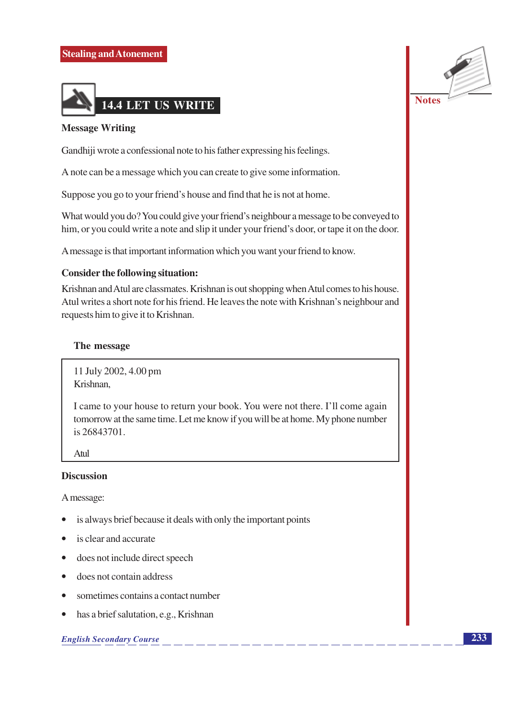

#### **Message Writing**

Gandhiji wrote a confessional note to his father expressing his feelings.

A note can be a message which you can create to give some information.

Suppose you go to your friend's house and find that he is not at home.

What would you do? You could give your friend's neighbour a message to be conveyed to him, or you could write a note and slip it under your friend's door, or tape it on the door.

A message is that important information which you want your friend to know.

#### **Consider the following situation:**

Krishnan and Atul are classmates. Krishnan is out shopping when Atul comes to his house. Atul writes a short note for his friend. He leaves the note with Krishnan's neighbour and requests him to give it to Krishnan.

#### The message

11 July 2002, 4.00 pm Krishnan,

I came to your house to return your book. You were not there. I'll come again tomorrow at the same time. Let me know if you will be at home. My phone number is 26843701.

Atul

#### **Discussion**

A message:

- is always brief because it deals with only the important points
- is clear and accurate
- does not include direct speech  $\bullet$
- does not contain address  $\bullet$
- sometimes contains a contact number
- has a brief salutation, e.g., Krishnan  $\bullet$

#### **English Secondary Course**

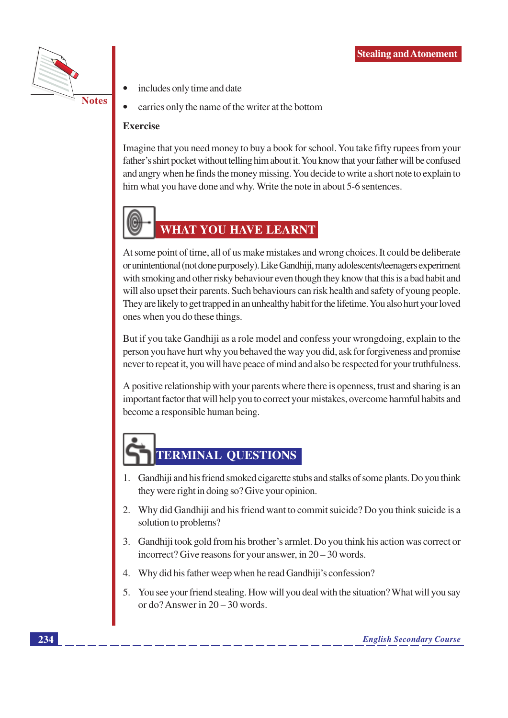

- includes only time and date
- carries only the name of the writer at the bottom

#### **Exercise**

Imagine that you need money to buy a book for school. You take fifty rupees from your father's shirt pocket without telling him about it. You know that your father will be confused and angry when he finds the money missing. You decide to write a short note to explain to him what you have done and why. Write the note in about 5-6 sentences.



# **WHAT YOU HAVE LEARNT**

At some point of time, all of us make mistakes and wrong choices. It could be deliberate or unintentional (not done purposely). Like Gandhiji, many adolescents/teenagers experiment with smoking and other risky behaviour even though they know that this is a bad habit and will also upset their parents. Such behaviours can risk health and safety of young people. They are likely to get trapped in an unhealthy habit for the lifetime. You also hurt your loved ones when you do these things.

But if you take Gandhiji as a role model and confess your wrongdoing, explain to the person you have hurt why you behaved the way you did, ask for forgiveness and promise never to repeat it, you will have peace of mind and also be respected for your truthfulness.

A positive relationship with your parents where there is openness, trust and sharing is an important factor that will help you to correct your mistakes, overcome harmful habits and become a responsible human being.

# **TERMINAL QUESTIONS**

- 1. Gandhiji and his friend smoked cigarette stubs and stalks of some plants. Do you think they were right in doing so? Give your opinion.
- 2. Why did Gandhiji and his friend want to commit suicide? Do you think suicide is a solution to problems?
- 3. Gandhiji took gold from his brother's armlet. Do you think his action was correct or incorrect? Give reasons for your answer, in  $20 - 30$  words.
- Why did his father weep when he read Gandhiji's confession?  $\overline{4}$ .
- 5. You see your friend stealing. How will you deal with the situation? What will you say or do? Answer in  $20 - 30$  words.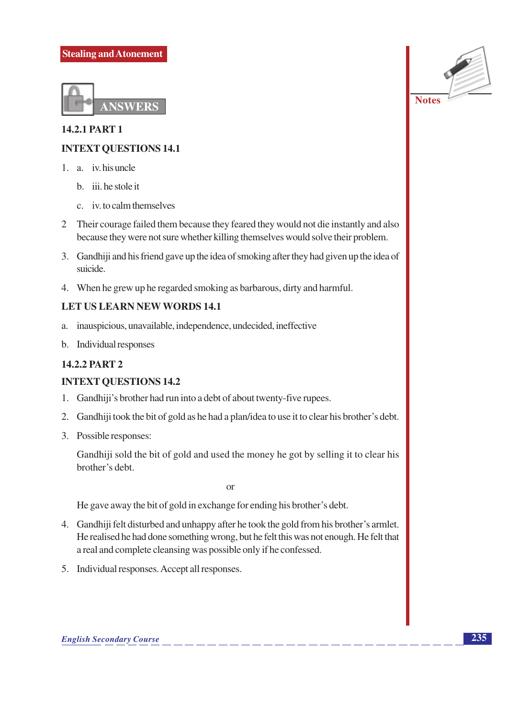

# **14.2.1 PART 1 INTEXT QUESTIONS 14.1**

- 1. a. iv. his uncle
	- b. iii. he stole it
	- c. iv. to calm themselves
- 2 Their courage failed them because they feared they would not die instantly and also because they were not sure whether killing themselves would solve their problem.
- 3. Gandhiji and his friend gave up the idea of smoking after they had given up the idea of suicide
- 4. When he grew up he regarded smoking as barbarous, dirty and harmful.

#### **LET US LEARN NEW WORDS 14.1**

- inauspicious, unavailable, independence, undecided, ineffective a.
- b. Individual responses

#### **14.2.2 PART 2**

#### **INTEXT QUESTIONS 14.2**

- 1. Gandhiji's brother had run into a debt of about twenty-five rupees.
- 2. Gandhiji took the bit of gold as he had a plan/idea to use it to clear his brother's debt.
- 3. Possible responses:

Gandhiji sold the bit of gold and used the money he got by selling it to clear his brother's debt.

 $\alpha$ 

He gave away the bit of gold in exchange for ending his brother's debt.

- 4. Gandhiji felt disturbed and unhappy after he took the gold from his brother's armlet. He realised he had done something wrong, but he felt this was not enough. He felt that a real and complete cleansing was possible only if he confessed.
- 5. Individual responses. Accept all responses.